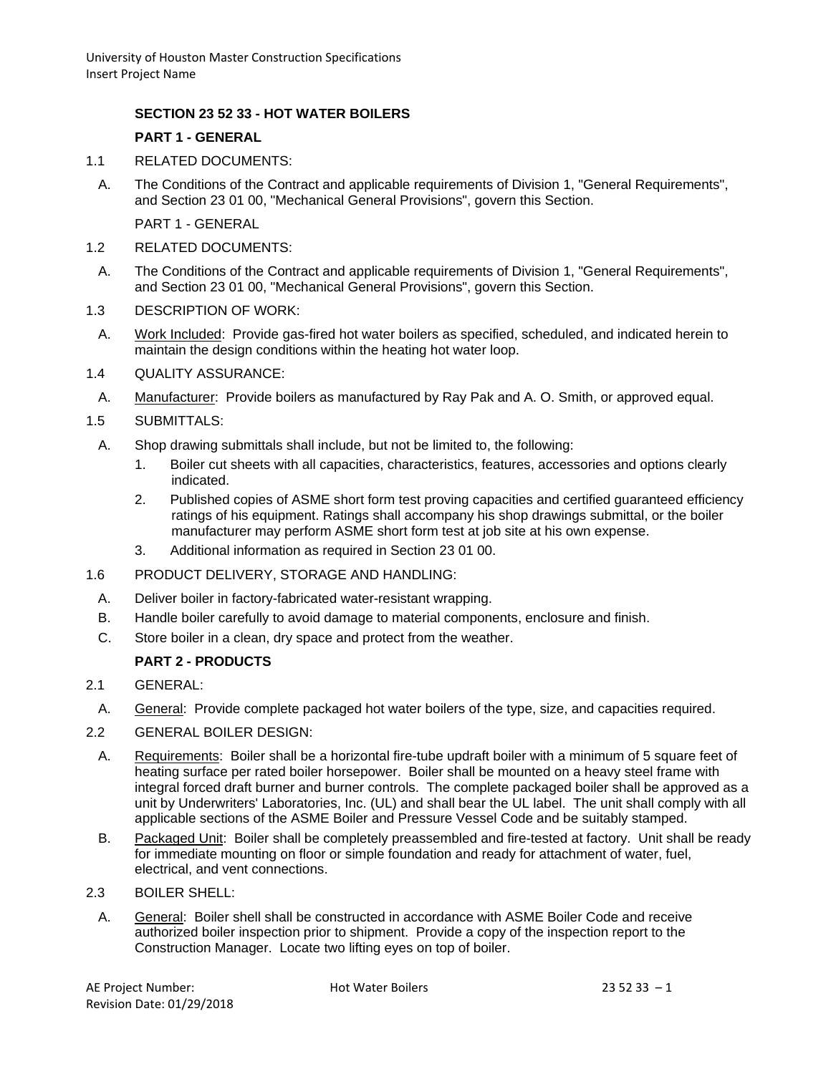### **SECTION 23 52 33 - HOT WATER BOILERS**

#### **PART 1 - GENERAL**

- 1.1 RELATED DOCUMENTS:
	- A. The Conditions of the Contract and applicable requirements of Division 1, "General Requirements", and Section 23 01 00, "Mechanical General Provisions", govern this Section.

PART 1 - GENERAL

- 1.2 RELATED DOCUMENTS:
- A. The Conditions of the Contract and applicable requirements of Division 1, "General Requirements", and Section 23 01 00, "Mechanical General Provisions", govern this Section.
- 1.3 DESCRIPTION OF WORK:
- A. Work Included: Provide gas-fired hot water boilers as specified, scheduled, and indicated herein to maintain the design conditions within the heating hot water loop.
- 1.4 QUALITY ASSURANCE:
- A. Manufacturer: Provide boilers as manufactured by Ray Pak and A. O. Smith, or approved equal.
- 1.5 SUBMITTALS:
	- A. Shop drawing submittals shall include, but not be limited to, the following:
		- 1. Boiler cut sheets with all capacities, characteristics, features, accessories and options clearly indicated.
		- 2. Published copies of ASME short form test proving capacities and certified guaranteed efficiency ratings of his equipment. Ratings shall accompany his shop drawings submittal, or the boiler manufacturer may perform ASME short form test at job site at his own expense.
		- 3. Additional information as required in Section 23 01 00.
- 1.6 PRODUCT DELIVERY, STORAGE AND HANDLING:
	- A. Deliver boiler in factory-fabricated water-resistant wrapping.
	- B. Handle boiler carefully to avoid damage to material components, enclosure and finish.
	- C. Store boiler in a clean, dry space and protect from the weather.

# **PART 2 - PRODUCTS**

- 2.1 GENERAL:
- A. General: Provide complete packaged hot water boilers of the type, size, and capacities required.
- 2.2 GENERAL BOILER DESIGN:
- A. Requirements: Boiler shall be a horizontal fire-tube updraft boiler with a minimum of 5 square feet of heating surface per rated boiler horsepower. Boiler shall be mounted on a heavy steel frame with integral forced draft burner and burner controls. The complete packaged boiler shall be approved as a unit by Underwriters' Laboratories, Inc. (UL) and shall bear the UL label. The unit shall comply with all applicable sections of the ASME Boiler and Pressure Vessel Code and be suitably stamped.
- B. Packaged Unit: Boiler shall be completely preassembled and fire-tested at factory. Unit shall be ready for immediate mounting on floor or simple foundation and ready for attachment of water, fuel, electrical, and vent connections.
- 2.3 BOILER SHELL:
	- A. General: Boiler shell shall be constructed in accordance with ASME Boiler Code and receive authorized boiler inspection prior to shipment. Provide a copy of the inspection report to the Construction Manager. Locate two lifting eyes on top of boiler.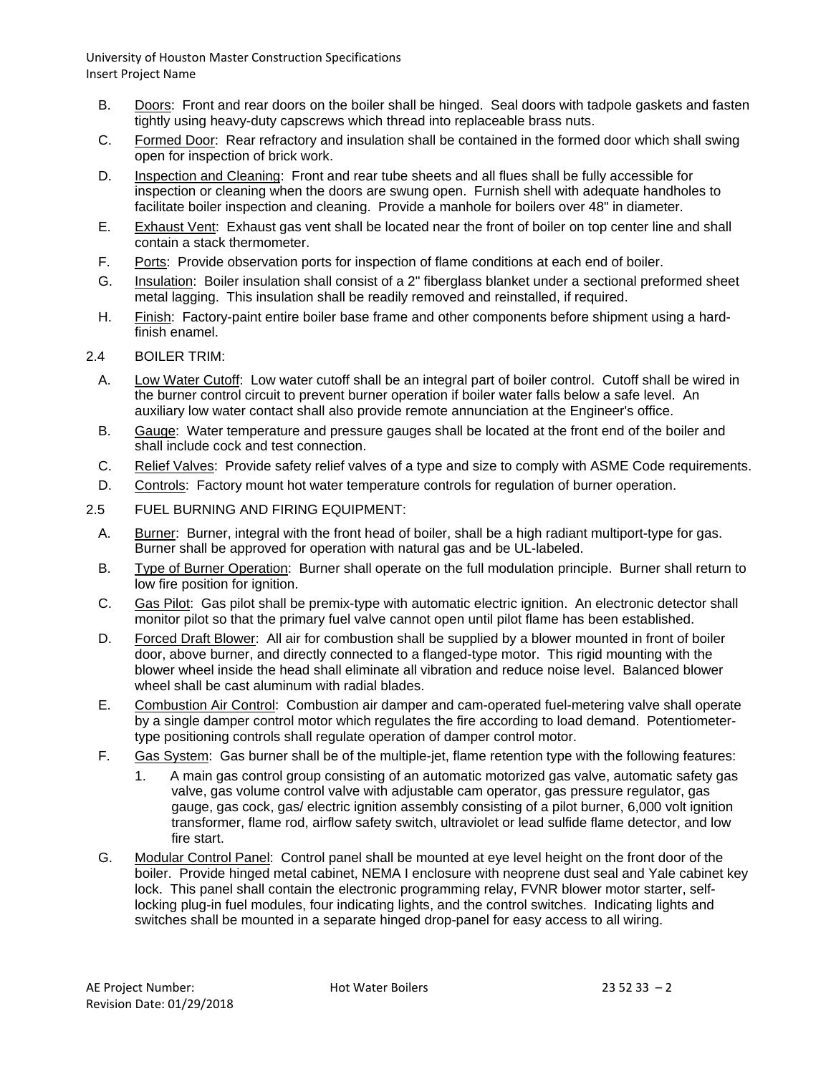University of Houston Master Construction Specifications Insert Project Name

- B. Doors: Front and rear doors on the boiler shall be hinged. Seal doors with tadpole gaskets and fasten tightly using heavy-duty capscrews which thread into replaceable brass nuts.
- C. Formed Door: Rear refractory and insulation shall be contained in the formed door which shall swing open for inspection of brick work.
- D. Inspection and Cleaning: Front and rear tube sheets and all flues shall be fully accessible for inspection or cleaning when the doors are swung open. Furnish shell with adequate handholes to facilitate boiler inspection and cleaning. Provide a manhole for boilers over 48" in diameter.
- E. Exhaust Vent: Exhaust gas vent shall be located near the front of boiler on top center line and shall contain a stack thermometer.
- F. Ports: Provide observation ports for inspection of flame conditions at each end of boiler.
- G. Insulation: Boiler insulation shall consist of a 2" fiberglass blanket under a sectional preformed sheet metal lagging. This insulation shall be readily removed and reinstalled, if required.
- H. Finish: Factory-paint entire boiler base frame and other components before shipment using a hardfinish enamel.

### 2.4 BOILER TRIM:

- A. Low Water Cutoff: Low water cutoff shall be an integral part of boiler control. Cutoff shall be wired in the burner control circuit to prevent burner operation if boiler water falls below a safe level. An auxiliary low water contact shall also provide remote annunciation at the Engineer's office.
- B. Gauge: Water temperature and pressure gauges shall be located at the front end of the boiler and shall include cock and test connection.
- C. Relief Valves: Provide safety relief valves of a type and size to comply with ASME Code requirements.
- D. Controls: Factory mount hot water temperature controls for regulation of burner operation.
- 2.5 FUEL BURNING AND FIRING EQUIPMENT:
	- A. Burner: Burner, integral with the front head of boiler, shall be a high radiant multiport-type for gas. Burner shall be approved for operation with natural gas and be UL-labeled.
	- B. Type of Burner Operation: Burner shall operate on the full modulation principle. Burner shall return to low fire position for ignition.
	- C. Gas Pilot: Gas pilot shall be premix-type with automatic electric ignition. An electronic detector shall monitor pilot so that the primary fuel valve cannot open until pilot flame has been established.
	- D. Forced Draft Blower: All air for combustion shall be supplied by a blower mounted in front of boiler door, above burner, and directly connected to a flanged-type motor. This rigid mounting with the blower wheel inside the head shall eliminate all vibration and reduce noise level. Balanced blower wheel shall be cast aluminum with radial blades.
	- E. Combustion Air Control: Combustion air damper and cam-operated fuel-metering valve shall operate by a single damper control motor which regulates the fire according to load demand. Potentiometertype positioning controls shall regulate operation of damper control motor.
	- F. Gas System: Gas burner shall be of the multiple-jet, flame retention type with the following features:
		- 1. A main gas control group consisting of an automatic motorized gas valve, automatic safety gas valve, gas volume control valve with adjustable cam operator, gas pressure regulator, gas gauge, gas cock, gas/ electric ignition assembly consisting of a pilot burner, 6,000 volt ignition transformer, flame rod, airflow safety switch, ultraviolet or lead sulfide flame detector, and low fire start.
	- G. Modular Control Panel: Control panel shall be mounted at eye level height on the front door of the boiler. Provide hinged metal cabinet, NEMA I enclosure with neoprene dust seal and Yale cabinet key lock. This panel shall contain the electronic programming relay, FVNR blower motor starter, selflocking plug-in fuel modules, four indicating lights, and the control switches. Indicating lights and switches shall be mounted in a separate hinged drop-panel for easy access to all wiring.